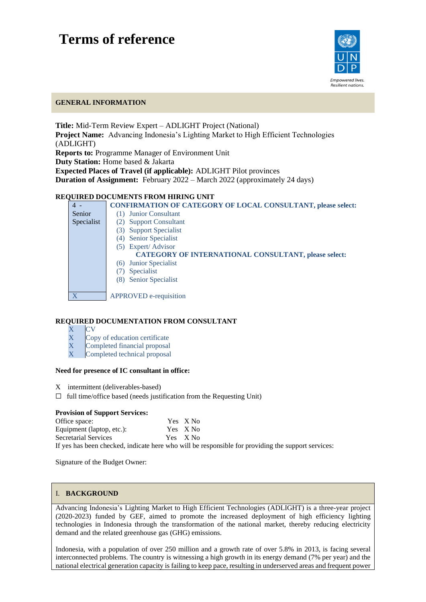# **Terms of reference**



l

## **GENERAL INFORMATION**

**Title:** Mid-Term Review Expert – ADLIGHT Project (National) **Project Name:** Advancing Indonesia's Lighting Market to High Efficient Technologies (ADLIGHT) **Reports to:** Programme Manager of Environment Unit **Duty Station:** Home based & Jakarta **Expected Places of Travel (if applicable):** ADLIGHT Pilot provinces **Duration of Assignment:** February 2022 – March 2022 (approximately 24 days)

## **REQUIRED DOCUMENTS FROM HIRING UNIT**

| $4 -$      | <b>CONFIRMATION OF CATEGORY OF LOCAL CONSULTANT, please select:</b> |
|------------|---------------------------------------------------------------------|
| Senior     | <b>Junior Consultant</b><br>(1)                                     |
| Specialist | <b>Support Consultant</b><br>(2)                                    |
|            | (3) Support Specialist                                              |
|            | <b>Senior Specialist</b><br>(4)                                     |
|            | (5) Expert/Advisor                                                  |
|            | <b>CATEGORY OF INTERNATIONAL CONSULTANT, please select:</b>         |
|            | (6) Junior Specialist                                               |
|            | <b>Specialist</b>                                                   |
|            | <b>Senior Specialist</b><br>(8)                                     |
|            |                                                                     |
|            | <b>APPROVED</b> e-requisition                                       |
|            |                                                                     |

## **REQUIRED DOCUMENTATION FROM CONSULTANT**

- X CV
- X Copy of education certificate
- X Completed financial proposal
- X Completed technical proposal

#### **Need for presence of IC consultant in office:**

- X intermittent (deliverables-based)
- $\Box$  full time/office based (needs justification from the Requesting Unit)

### **Provision of Support Services:**

| Office space:             | Yes X No |  |
|---------------------------|----------|--|
| Equipment (laptop, etc.): | Yes X No |  |
| Secretarial Services      | Yes X No |  |
|                           |          |  |

If yes has been checked, indicate here who will be responsible for providing the support services:

Signature of the Budget Owner:

## I. **BACKGROUND**

Advancing Indonesia's Lighting Market to High Efficient Technologies (ADLIGHT) is a three-year project (2020-2023) funded by GEF, aimed to promote the increased deployment of high efficiency lighting technologies in Indonesia through the transformation of the national market, thereby reducing electricity demand and the related greenhouse gas (GHG) emissions.

Indonesia, with a population of over 250 million and a growth rate of over 5.8% in 2013, is facing several interconnected problems. The country is witnessing a high growth in its energy demand (7% per year) and the national electrical generation capacity is failing to keep pace, resulting in underserved areas and frequent power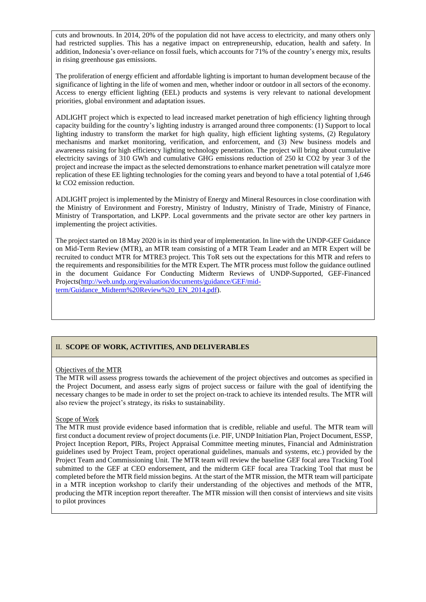cuts and brownouts. In 2014, 20% of the population did not have access to electricity, and many others only had restricted supplies. This has a negative impact on entrepreneurship, education, health and safety. In addition, Indonesia's over-reliance on fossil fuels, which accounts for 71% of the country's energy mix, results in rising greenhouse gas emissions.

The proliferation of energy efficient and affordable lighting is important to human development because of the significance of lighting in the life of women and men, whether indoor or outdoor in all sectors of the economy. Access to energy efficient lighting (EEL) products and systems is very relevant to national development priorities, global environment and adaptation issues.

ADLIGHT project which is expected to lead increased market penetration of high efficiency lighting through capacity building for the country's lighting industry is arranged around three components: (1) Support to local lighting industry to transform the market for high quality, high efficient lighting systems, (2) Regulatory mechanisms and market monitoring, verification, and enforcement, and (3) New business models and awareness raising for high efficiency lighting technology penetration. The project will bring about cumulative electricity savings of 310 GWh and cumulative GHG emissions reduction of 250 kt CO2 by year 3 of the project and increase the impact as the selected demonstrations to enhance market penetration will catalyze more replication of these EE lighting technologies for the coming years and beyond to have a total potential of 1,646 kt CO2 emission reduction.

ADLIGHT project is implemented by the Ministry of Energy and Mineral Resources in close coordination with the Ministry of Environment and Forestry, Ministry of Industry, Ministry of Trade, Ministry of Finance, Ministry of Transportation, and LKPP. Local governments and the private sector are other key partners in implementing the project activities.

The project started on 18 May 2020 is in its third year of implementation. In line with the UNDP-GEF Guidance on Mid-Term Review (MTR), an MTR team consisting of a MTR Team Leader and an MTR Expert will be recruited to conduct MTR for MTRE3 project. This ToR sets out the expectations for this MTR and refers to the requirements and responsibilities for the MTR Expert. The MTR process must follow the guidance outlined in the document Guidance For Conducting Midterm Reviews of UNDP-Supported, GEF-Financed Projects[\(http://web.undp.org/evaluation/documents/guidance/GEF/mid](http://web.undp.org/evaluation/documents/guidance/GEF/mid-term/Guidance_Midterm%20Review%20_EN_2014.pdf)[term/Guidance\\_Midterm%20Review%20\\_EN\\_2014.pdf\)](http://web.undp.org/evaluation/documents/guidance/GEF/mid-term/Guidance_Midterm%20Review%20_EN_2014.pdf).

## II. **SCOPE OF WORK, ACTIVITIES, AND DELIVERABLES**

### Objectives of the MTR

The MTR will assess progress towards the achievement of the project objectives and outcomes as specified in the Project Document, and assess early signs of project success or failure with the goal of identifying the necessary changes to be made in order to set the project on-track to achieve its intended results. The MTR will also review the project's strategy, its risks to sustainability.

### Scope of Work

The MTR must provide evidence based information that is credible, reliable and useful. The MTR team will first conduct a document review of project documents (i.e. PIF, UNDP Initiation Plan, Project Document, ESSP, Project Inception Report, PIRs, Project Appraisal Committee meeting minutes, Financial and Administration guidelines used by Project Team, project operational guidelines, manuals and systems, etc.) provided by the Project Team and Commissioning Unit. The MTR team will review the baseline GEF focal area Tracking Tool submitted to the GEF at CEO endorsement, and the midterm GEF focal area Tracking Tool that must be completed before the MTR field mission begins. At the start of the MTR mission, the MTR team will participate in a MTR inception workshop to clarify their understanding of the objectives and methods of the MTR, producing the MTR inception report thereafter. The MTR mission will then consist of interviews and site visits to pilot provinces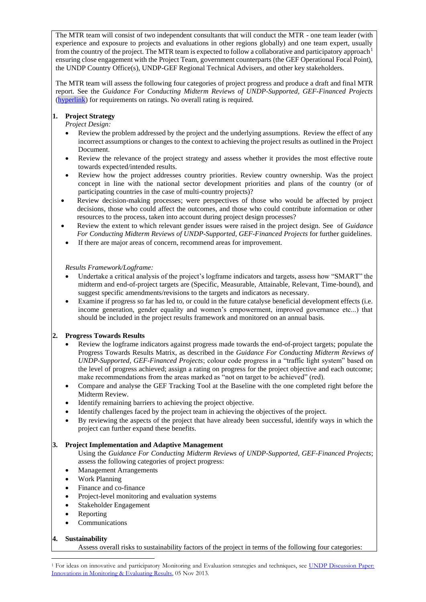The MTR team will consist of two independent consultants that will conduct the MTR - one team leader (with experience and exposure to projects and evaluations in other regions globally) and one team expert, usually from the country of the project. The MTR team is expected to follow a collaborative and participatory approach<sup>1</sup> ensuring close engagement with the Project Team, government counterparts (the GEF Operational Focal Point), the UNDP Country Office(s), UNDP-GEF Regional Technical Advisers, and other key stakeholders.

The MTR team will assess the following four categories of project progress and produce a draft and final MTR report. See the *Guidance For Conducting Midterm Reviews of UNDP-Supported, GEF-Financed Projects* [\(hyperlink\)](http://web.undp.org/evaluation/documents/guidance/GEF/mid-term/Guidance_Midterm%20Review%20_EN_2014.pdf) for requirements on ratings. No overall rating is required.

## **1. Project Strategy**

*Project Design:* 

- Review the problem addressed by the project and the underlying assumptions. Review the effect of any incorrect assumptions or changes to the context to achieving the project results as outlined in the Project Document.
- Review the relevance of the project strategy and assess whether it provides the most effective route towards expected/intended results.
- Review how the project addresses country priorities. Review country ownership. Was the project concept in line with the national sector development priorities and plans of the country (or of participating countries in the case of multi-country projects)?
- Review decision-making processes; were perspectives of those who would be affected by project decisions, those who could affect the outcomes, and those who could contribute information or other resources to the process, taken into account during project design processes?
- Review the extent to which relevant gender issues were raised in the project design. See of *Guidance For Conducting Midterm Reviews of UNDP-Supported, GEF-Financed Projects* for further guidelines.
- If there are major areas of concern, recommend areas for improvement.

### *Results Framework/Logframe:*

- Undertake a critical analysis of the project's logframe indicators and targets, assess how "SMART" the midterm and end-of-project targets are (Specific, Measurable, Attainable, Relevant, Time-bound), and suggest specific amendments/revisions to the targets and indicators as necessary.
- Examine if progress so far has led to, or could in the future catalyse beneficial development effects (i.e. income generation, gender equality and women's empowerment, improved governance etc...) that should be included in the project results framework and monitored on an annual basis.

## **2. Progress Towards Results**

- Review the logframe indicators against progress made towards the end-of-project targets; populate the Progress Towards Results Matrix, as described in the *Guidance For Conducting Midterm Reviews of UNDP-Supported, GEF-Financed Projects*; colour code progress in a "traffic light system" based on the level of progress achieved; assign a rating on progress for the project objective and each outcome; make recommendations from the areas marked as "not on target to be achieved" (red).
- Compare and analyse the GEF Tracking Tool at the Baseline with the one completed right before the Midterm Review.
- Identify remaining barriers to achieving the project objective.
- Identify challenges faced by the project team in achieving the objectives of the project.
- By reviewing the aspects of the project that have already been successful, identify ways in which the project can further expand these benefits.

## **3. Project Implementation and Adaptive Management**

Using the *Guidance For Conducting Midterm Reviews of UNDP-Supported, GEF-Financed Projects*; assess the following categories of project progress:

- Management Arrangements
- Work Planning
- Finance and co-finance
- Project-level monitoring and evaluation systems
- Stakeholder Engagement
- Reporting
- **Communications**

### **4. Sustainability**

Assess overall risks to sustainability factors of the project in terms of the following four categories:

<sup>&</sup>lt;sup>1</sup> For ideas on innovative and participatory Monitoring and Evaluation strategies and techniques, see UNDP Discussion Paper: [Innovations in Monitoring & Evaluating Results,](http://www.undp.org/content/undp/en/home/librarypage/capacity-building/discussion-paper--innovations-in-monitoring---evaluating-results/) 05 Nov 2013.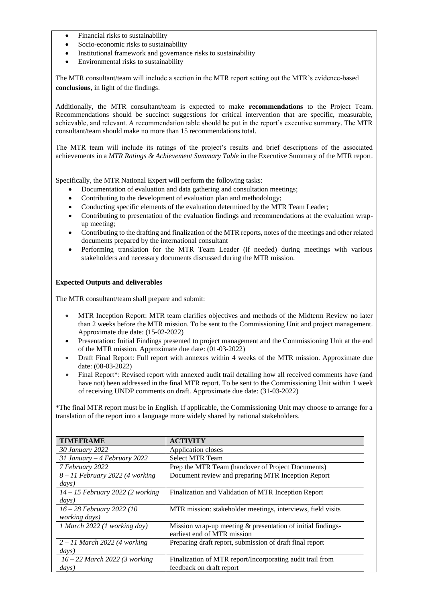- Financial risks to sustainability
- Socio-economic risks to sustainability
- Institutional framework and governance risks to sustainability
- Environmental risks to sustainability

The MTR consultant/team will include a section in the MTR report setting out the MTR's evidence-based **conclusions**, in light of the findings.

Additionally, the MTR consultant/team is expected to make **recommendations** to the Project Team. Recommendations should be succinct suggestions for critical intervention that are specific, measurable, achievable, and relevant. A recommendation table should be put in the report's executive summary. The MTR consultant/team should make no more than 15 recommendations total.

The MTR team will include its ratings of the project's results and brief descriptions of the associated achievements in a *MTR Ratings & Achievement Summary Table* in the Executive Summary of the MTR report.

Specifically, the MTR National Expert will perform the following tasks:

- Documentation of evaluation and data gathering and consultation meetings;
- Contributing to the development of evaluation plan and methodology;
- Conducting specific elements of the evaluation determined by the MTR Team Leader;
- Contributing to presentation of the evaluation findings and recommendations at the evaluation wrapup meeting;
- Contributing to the drafting and finalization of the MTR reports, notes of the meetings and other related documents prepared by the international consultant
- Performing translation for the MTR Team Leader (if needed) during meetings with various stakeholders and necessary documents discussed during the MTR mission.

### **Expected Outputs and deliverables**

The MTR consultant/team shall prepare and submit:

- MTR Inception Report: MTR team clarifies objectives and methods of the Midterm Review no later than 2 weeks before the MTR mission. To be sent to the Commissioning Unit and project management. Approximate due date: (15-02-2022)
- Presentation: Initial Findings presented to project management and the Commissioning Unit at the end of the MTR mission. Approximate due date: (01-03-2022)
- Draft Final Report: Full report with annexes within 4 weeks of the MTR mission. Approximate due date: (08-03-2022)
- Final Report\*: Revised report with annexed audit trail detailing how all received comments have (and have not) been addressed in the final MTR report. To be sent to the Commissioning Unit within 1 week of receiving UNDP comments on draft. Approximate due date: (31-03-2022)

\*The final MTR report must be in English. If applicable, the Commissioning Unit may choose to arrange for a translation of the report into a language more widely shared by national stakeholders.

| <b>TIMEFRAME</b>                   | <b>ACTIVITY</b>                                                |
|------------------------------------|----------------------------------------------------------------|
| 30 January 2022                    | Application closes                                             |
| 31 January – 4 February 2022       | <b>Select MTR Team</b>                                         |
| 7 February 2022                    | Prep the MTR Team (handover of Project Documents)              |
| $8 - 11$ February 2022 (4 working  | Document review and preparing MTR Inception Report             |
| $\frac{days}{ }$                   |                                                                |
| $14 - 15$ February 2022 (2 working | Finalization and Validation of MTR Inception Report            |
| $\frac{days}{ }$                   |                                                                |
| 16 - 28 February 2022 (10          | MTR mission: stakeholder meetings, interviews, field visits    |
| working days)                      |                                                                |
| 1 March 2022 (1 working day)       | Mission wrap-up meeting $\&$ presentation of initial findings- |
|                                    | earliest end of MTR mission                                    |
| $2 - 11$ March 2022 (4 working     | Preparing draft report, submission of draft final report       |
| $\frac{days}{ }$                   |                                                                |
| $16 - 22$ March 2022 (3 working    | Finalization of MTR report/Incorporating audit trail from      |
| $\frac{days}{ }$                   | feedback on draft report                                       |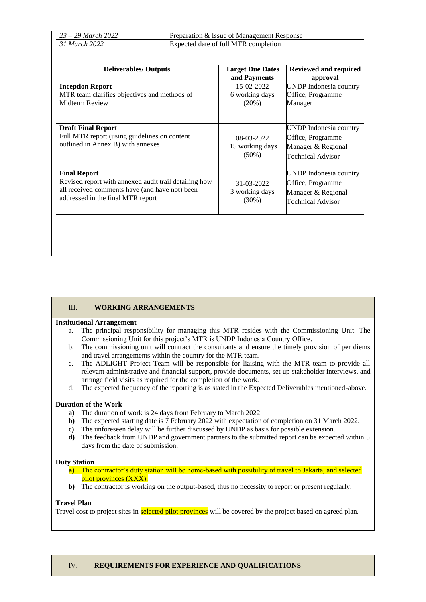| $\frac{1}{2}$ 29 March 2022 | Preparation & Issue of Management Response |
|-----------------------------|--------------------------------------------|
| 31 March 2022               | Expected date of full MTR completion       |

| <b>Deliverables/ Outputs</b>                                                                                                                                        | <b>Target Due Dates</b><br>and Payments   | Reviewed and required<br>approval                                                      |
|---------------------------------------------------------------------------------------------------------------------------------------------------------------------|-------------------------------------------|----------------------------------------------------------------------------------------|
| <b>Inception Report</b><br>MTR team clarifies objectives and methods of<br>Midterm Review                                                                           | 15-02-2022<br>6 working days<br>$(20\%)$  | UNDP Indonesia country<br>Office, Programme<br>Manager                                 |
| <b>Draft Final Report</b><br>Full MTR report (using guidelines on content<br>outlined in Annex B) with annexes                                                      | 08-03-2022<br>15 working days<br>$(50\%)$ | UNDP Indonesia country<br>Office, Programme<br>Manager & Regional<br>Technical Advisor |
| <b>Final Report</b><br>Revised report with annexed audit trail detailing how<br>all received comments have (and have not) been<br>addressed in the final MTR report | 31-03-2022<br>3 working days<br>$(30\%)$  | UNDP Indonesia country<br>Office, Programme<br>Manager & Regional<br>Technical Advisor |

### III. **WORKING ARRANGEMENTS**

#### **Institutional Arrangement**

- a. The principal responsibility for managing this MTR resides with the Commissioning Unit. The Commissioning Unit for this project's MTR is UNDP Indonesia Country Office.
- b. The commissioning unit will contract the consultants and ensure the timely provision of per diems and travel arrangements within the country for the MTR team.
- c. The ADLIGHT Project Team will be responsible for liaising with the MTR team to provide all relevant administrative and financial support, provide documents, set up stakeholder interviews, and arrange field visits as required for the completion of the work.
- d. The expected frequency of the reporting is as stated in the Expected Deliverables mentioned-above.

#### **Duration of the Work**

- **a)** The duration of work is 24 days from February to March 2022
- **b)** The expected starting date is 7 February 2022 with expectation of completion on 31 March 2022.
- **c)** The unforeseen delay will be further discussed by UNDP as basis for possible extension.
- **d)** The feedback from UNDP and government partners to the submitted report can be expected within 5 days from the date of submission.

#### **Duty Station**

- **a)** The contractor's duty station will be home-based with possibility of travel to Jakarta, and selected pilot provinces (XXX).
- **b)** The contractor is working on the output-based, thus no necessity to report or present regularly.

#### **Travel Plan**

Travel cost to project sites in **selected pilot provinces** will be covered by the project based on agreed plan.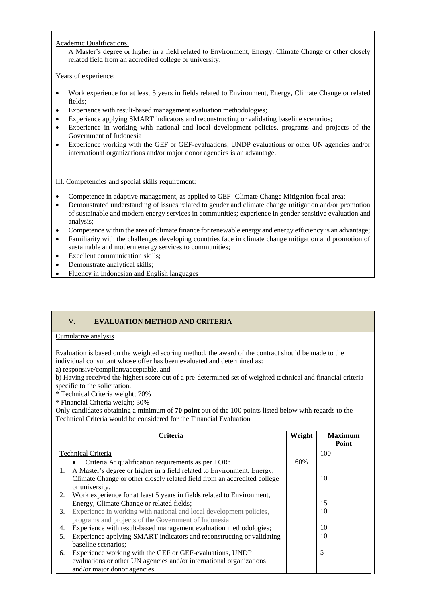## Academic Qualifications:

A Master's degree or higher in a field related to Environment, Energy, Climate Change or other closely related field from an accredited college or university.

## Years of experience:

- Work experience for at least 5 years in fields related to Environment, Energy, Climate Change or related fields;
- Experience with result-based management evaluation methodologies;
- Experience applying SMART indicators and reconstructing or validating baseline scenarios;
- Experience in working with national and local development policies, programs and projects of the Government of Indonesia
- Experience working with the GEF or GEF-evaluations, UNDP evaluations or other UN agencies and/or international organizations and/or major donor agencies is an advantage.

III. Competencies and special skills requirement:

- Competence in adaptive management, as applied to GEF- Climate Change Mitigation focal area;
- Demonstrated understanding of issues related to gender and climate change mitigation and/or promotion of sustainable and modern energy services in communities; experience in gender sensitive evaluation and analysis;
- Competence within the area of climate finance for renewable energy and energy efficiency is an advantage;
- Familiarity with the challenges developing countries face in climate change mitigation and promotion of sustainable and modern energy services to communities;
- Excellent communication skills;
- Demonstrate analytical skills;
- Fluency in Indonesian and English languages

## V. **EVALUATION METHOD AND CRITERIA**

### Cumulative analysis

Evaluation is based on the weighted scoring method, the award of the contract should be made to the individual consultant whose offer has been evaluated and determined as:

a) responsive/compliant/acceptable, and

b) Having received the highest score out of a pre-determined set of weighted technical and financial criteria specific to the solicitation.

\* Technical Criteria weight; 70%

\* Financial Criteria weight; 30%

Only candidates obtaining a minimum of **70 point** out of the 100 points listed below with regards to the Technical Criteria would be considered for the Financial Evaluation

|    | Criteria                                                                 | Weight | <b>Maximum</b><br>Point |
|----|--------------------------------------------------------------------------|--------|-------------------------|
|    | <b>Technical Criteria</b>                                                |        | 100                     |
|    | Criteria A: qualification requirements as per TOR:                       | 60%    |                         |
| 1. | A Master's degree or higher in a field related to Environment, Energy,   |        |                         |
|    | Climate Change or other closely related field from an accredited college |        | 10                      |
|    | or university.                                                           |        |                         |
| 2. | Work experience for at least 5 years in fields related to Environment,   |        |                         |
|    | Energy, Climate Change or related fields;                                |        | 15                      |
| 3. | Experience in working with national and local development policies,      |        | 10                      |
|    | programs and projects of the Government of Indonesia                     |        |                         |
| 4. | Experience with result-based management evaluation methodologies;        |        | 10                      |
| 5. | Experience applying SMART indicators and reconstructing or validating    |        | 10                      |
|    | baseline scenarios;                                                      |        |                         |
| 6. | Experience working with the GEF or GEF-evaluations, UNDP                 |        | 5                       |
|    | evaluations or other UN agencies and/or international organizations      |        |                         |
|    | and/or major donor agencies                                              |        |                         |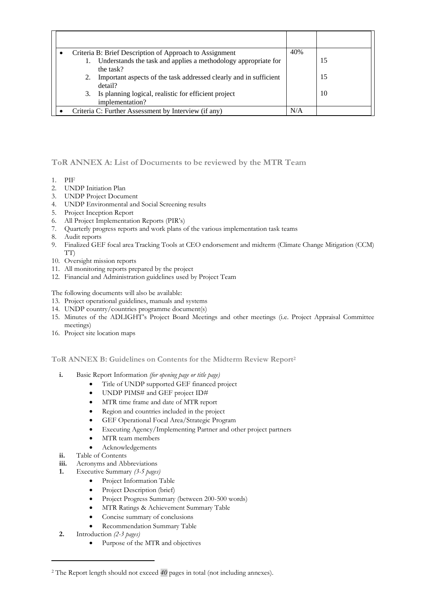|  | Criteria B: Brief Description of Approach to Assignment                      | 40% |    |
|--|------------------------------------------------------------------------------|-----|----|
|  | Understands the task and applies a methodology appropriate for               |     | 15 |
|  | the task?                                                                    |     |    |
|  | Important aspects of the task addressed clearly and in sufficient<br>detail? |     | 15 |
|  | 3. Is planning logical, realistic for efficient project<br>implementation?   |     | 10 |
|  | Criteria C: Further Assessment by Interview (if any)                         | N/A |    |

## **ToR ANNEX A: List of Documents to be reviewed by the MTR Team**

- 1. PIF
- 2. UNDP Initiation Plan
- 3. UNDP Project Document
- 4. UNDP Environmental and Social Screening results
- 5. Project Inception Report
- 6. All Project Implementation Reports (PIR's)
- 7. Quarterly progress reports and work plans of the various implementation task teams
- 8. Audit reports
- 9. Finalized GEF focal area Tracking Tools at CEO endorsement and midterm (Climate Change Mitigation (CCM) TT)
- 10. Oversight mission reports
- 11. All monitoring reports prepared by the project
- 12. Financial and Administration guidelines used by Project Team

The following documents will also be available:

- 13. Project operational guidelines, manuals and systems
- 14. UNDP country/countries programme document(s)
- 15. Minutes of the ADLIGHT's Project Board Meetings and other meetings (i.e. Project Appraisal Committee meetings)
- 16. Project site location maps

**ToR ANNEX B: Guidelines on Contents for the Midterm Review Report<sup>2</sup>**

- **i.** Basic Report Information *(for opening page or title page)*
	- Title of UNDP supported GEF financed project
	- UNDP PIMS# and GEF project ID#
	- MTR time frame and date of MTR report
	- Region and countries included in the project
	- GEF Operational Focal Area/Strategic Program
	- Executing Agency/Implementing Partner and other project partners
	- MTR team members
	- Acknowledgements
- **ii.** Table of Contents
- **iii.** Acronyms and Abbreviations
- **1.** Executive Summary *(3-5 pages)*
	- Project Information Table
	- Project Description (brief)
	- Project Progress Summary (between 200-500 words)
	- MTR Ratings & Achievement Summary Table
	- Concise summary of conclusions
	- Recommendation Summary Table
- **2.** Introduction *(2-3 pages)*
	- Purpose of the MTR and objectives

<sup>2</sup> The Report length should not exceed *40* pages in total (not including annexes).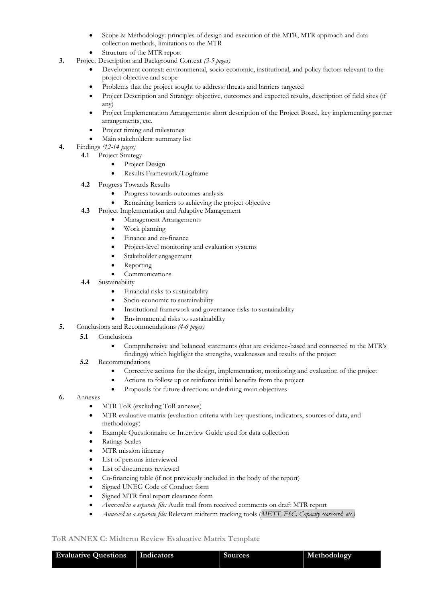- Scope & Methodology: principles of design and execution of the MTR, MTR approach and data collection methods, limitations to the MTR
- Structure of the MTR report
- **3.** Project Description and Background Context *(3-5 pages)*
	- Development context: environmental, socio-economic, institutional, and policy factors relevant to the project objective and scope
	- Problems that the project sought to address: threats and barriers targeted
	- Project Description and Strategy: objective, outcomes and expected results, description of field sites (if any)
	- Project Implementation Arrangements: short description of the Project Board, key implementing partner arrangements, etc.
	- Project timing and milestones
	- Main stakeholders: summary list
- **4.** Findings *(12-14 pages)*
	- **4.1** Project Strategy
		- Project Design
		- Results Framework/Logframe
	- **4.2** Progress Towards Results
		- Progress towards outcomes analysis
		- Remaining barriers to achieving the project objective
	- **4.3** Project Implementation and Adaptive Management
		- Management Arrangements
		- Work planning
		- Finance and co-finance
		- Project-level monitoring and evaluation systems
		- Stakeholder engagement
		- Reporting
		- **Communications**
	- **4.4** Sustainability
		- Financial risks to sustainability
		- Socio-economic to sustainability
		- Institutional framework and governance risks to sustainability
		- Environmental risks to sustainability
- **5.** Conclusions and Recommendations *(4-6 pages)*

#### **5.1**  Conclusions

- Comprehensive and balanced statements (that are evidence-based and connected to the MTR's findings) which highlight the strengths, weaknesses and results of the project
- **5.2** Recommendations
	- Corrective actions for the design, implementation, monitoring and evaluation of the project
	- Actions to follow up or reinforce initial benefits from the project
	- Proposals for future directions underlining main objectives
- **6.** Annexes
	- MTR ToR (excluding ToR annexes)
	- MTR evaluative matrix (evaluation criteria with key questions, indicators, sources of data, and methodology)
	- Example Questionnaire or Interview Guide used for data collection
	- Ratings Scales
	- MTR mission itinerary
	- List of persons interviewed
	- List of documents reviewed
	- Co-financing table (if not previously included in the body of the report)
	- Signed UNEG Code of Conduct form
	- Signed MTR final report clearance form
	- *Annexed in a separate file:* Audit trail from received comments on draft MTR report
	- *Annexed in a separate file:* Relevant midterm tracking tools (*METT, FSC, Capacity scorecard, etc.)*

## **ToR ANNEX C: Midterm Review Evaluative Matrix Template**

| <b>Evaluative Questions</b>   Indicators | Sources | Methodology |
|------------------------------------------|---------|-------------|
|                                          |         |             |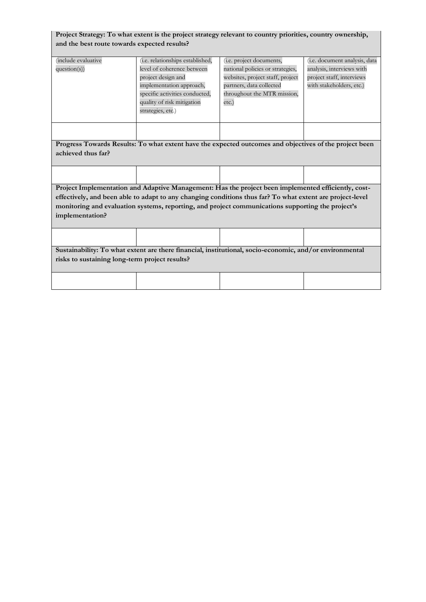| Project Strategy: To what extent is the project strategy relevant to country priorities, country ownership, |
|-------------------------------------------------------------------------------------------------------------|
| and the best route towards expected results?                                                                |

| (include evaluative<br>question(s)                                                                                                                        | (i.e. relationships established,<br>level of coherence between<br>project design and<br>implementation approach,<br>specific activities conducted,<br>quality of risk mitigation<br>strategies, etc.) | (i.e. project documents,<br>national policies or strategies,<br>websites, project staff, project<br>partners, data collected<br>throughout the MTR mission,<br>etc.) | (i.e. document analysis, data<br>analysis, interviews with<br>project staff, interviews<br>with stakeholders, etc.) |
|-----------------------------------------------------------------------------------------------------------------------------------------------------------|-------------------------------------------------------------------------------------------------------------------------------------------------------------------------------------------------------|----------------------------------------------------------------------------------------------------------------------------------------------------------------------|---------------------------------------------------------------------------------------------------------------------|
|                                                                                                                                                           |                                                                                                                                                                                                       |                                                                                                                                                                      |                                                                                                                     |
|                                                                                                                                                           |                                                                                                                                                                                                       |                                                                                                                                                                      |                                                                                                                     |
|                                                                                                                                                           | Progress Towards Results: To what extent have the expected outcomes and objectives of the project been                                                                                                |                                                                                                                                                                      |                                                                                                                     |
| achieved thus far?                                                                                                                                        |                                                                                                                                                                                                       |                                                                                                                                                                      |                                                                                                                     |
|                                                                                                                                                           |                                                                                                                                                                                                       |                                                                                                                                                                      |                                                                                                                     |
|                                                                                                                                                           |                                                                                                                                                                                                       |                                                                                                                                                                      |                                                                                                                     |
|                                                                                                                                                           | Project Implementation and Adaptive Management: Has the project been implemented efficiently, cost-                                                                                                   |                                                                                                                                                                      |                                                                                                                     |
|                                                                                                                                                           |                                                                                                                                                                                                       |                                                                                                                                                                      |                                                                                                                     |
|                                                                                                                                                           | effectively, and been able to adapt to any changing conditions thus far? To what extent are project-level                                                                                             |                                                                                                                                                                      |                                                                                                                     |
|                                                                                                                                                           | monitoring and evaluation systems, reporting, and project communications supporting the project's                                                                                                     |                                                                                                                                                                      |                                                                                                                     |
| implementation?                                                                                                                                           |                                                                                                                                                                                                       |                                                                                                                                                                      |                                                                                                                     |
|                                                                                                                                                           |                                                                                                                                                                                                       |                                                                                                                                                                      |                                                                                                                     |
|                                                                                                                                                           |                                                                                                                                                                                                       |                                                                                                                                                                      |                                                                                                                     |
|                                                                                                                                                           |                                                                                                                                                                                                       |                                                                                                                                                                      |                                                                                                                     |
| Sustainability: To what extent are there financial, institutional, socio-economic, and/or environmental<br>risks to sustaining long-term project results? |                                                                                                                                                                                                       |                                                                                                                                                                      |                                                                                                                     |
|                                                                                                                                                           |                                                                                                                                                                                                       |                                                                                                                                                                      |                                                                                                                     |
|                                                                                                                                                           |                                                                                                                                                                                                       |                                                                                                                                                                      |                                                                                                                     |
|                                                                                                                                                           |                                                                                                                                                                                                       |                                                                                                                                                                      |                                                                                                                     |
|                                                                                                                                                           |                                                                                                                                                                                                       |                                                                                                                                                                      |                                                                                                                     |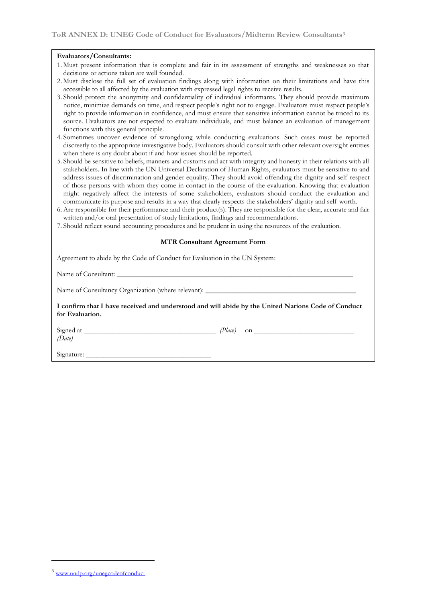#### **Evaluators/Consultants:**

- 1. Must present information that is complete and fair in its assessment of strengths and weaknesses so that decisions or actions taken are well founded.
- 2. Must disclose the full set of evaluation findings along with information on their limitations and have this accessible to all affected by the evaluation with expressed legal rights to receive results.
- 3. Should protect the anonymity and confidentiality of individual informants. They should provide maximum notice, minimize demands on time, and respect people's right not to engage. Evaluators must respect people's right to provide information in confidence, and must ensure that sensitive information cannot be traced to its source. Evaluators are not expected to evaluate individuals, and must balance an evaluation of management functions with this general principle.
- 4. Sometimes uncover evidence of wrongdoing while conducting evaluations. Such cases must be reported discreetly to the appropriate investigative body. Evaluators should consult with other relevant oversight entities when there is any doubt about if and how issues should be reported.
- 5. Should be sensitive to beliefs, manners and customs and act with integrity and honesty in their relations with all stakeholders. In line with the UN Universal Declaration of Human Rights, evaluators must be sensitive to and address issues of discrimination and gender equality. They should avoid offending the dignity and self-respect of those persons with whom they come in contact in the course of the evaluation. Knowing that evaluation might negatively affect the interests of some stakeholders, evaluators should conduct the evaluation and communicate its purpose and results in a way that clearly respects the stakeholders' dignity and self-worth.
- 6. Are responsible for their performance and their product(s). They are responsible for the clear, accurate and fair written and/or oral presentation of study limitations, findings and recommendations.
- 7. Should reflect sound accounting procedures and be prudent in using the resources of the evaluation.

#### **MTR Consultant Agreement Form**

Agreement to abide by the Code of Conduct for Evaluation in the UN System:

Name of Consultant:

Name of Consultancy Organization (where relevant):

**I confirm that I have received and understood and will abide by the United Nations Code of Conduct for Evaluation.** 

*(Date)*

Signed at *\_\_\_\_\_\_\_\_\_\_\_\_\_\_\_\_\_\_\_\_\_\_\_\_\_\_\_\_\_\_\_\_\_\_\_\_\_ (Place)* on *\_\_\_\_\_\_\_\_\_\_\_\_\_\_\_\_\_\_\_\_\_\_\_\_\_\_\_\_* 

Signature:

<sup>3</sup> [www.undp.org/unegcodeofconduct](http://www.undp.org/unegcodeofconduct)